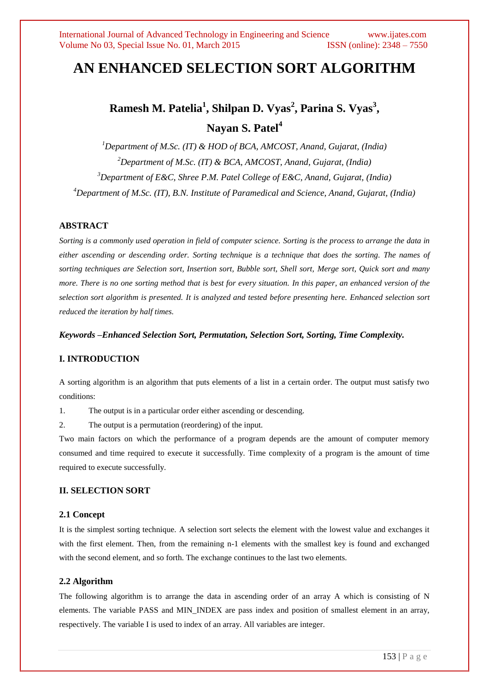# **AN ENHANCED SELECTION SORT ALGORITHM**

# **Ramesh M. Patelia<sup>1</sup> , Shilpan D. Vyas<sup>2</sup> , Parina S. Vyas<sup>3</sup> , Nayan S. Patel<sup>4</sup>**

*Department of M.Sc. (IT) & HOD of BCA, AMCOST, Anand, Gujarat, (India) Department of M.Sc. (IT) & BCA, AMCOST, Anand, Gujarat, (India) Department of E&C, Shree P.M. Patel College of E&C, Anand, Gujarat, (India) Department of M.Sc. (IT), B.N. Institute of Paramedical and Science, Anand, Gujarat, (India)*

### **ABSTRACT**

*Sorting is a commonly used operation in field of computer science. Sorting is the process to arrange the data in either ascending or descending order. Sorting technique is a technique that does the sorting. The names of sorting techniques are Selection sort, Insertion sort, Bubble sort, Shell sort, Merge sort, Quick sort and many more. There is no one sorting method that is best for every situation. In this paper, an enhanced version of the selection sort algorithm is presented. It is analyzed and tested before presenting here. Enhanced selection sort reduced the iteration by half times.*

*Keywords –Enhanced Selection Sort, Permutation, Selection Sort, Sorting, Time Complexity.*

## **I. INTRODUCTION**

A sorting algorithm is an algorithm that puts elements of a list in a certain order. The output must satisfy two conditions:

1. The output is in a particular order either ascending or descending.

2. The output is a permutation (reordering) of the input.

Two main factors on which the performance of a program depends are the amount of computer memory consumed and time required to execute it successfully. Time complexity of a program is the amount of time required to execute successfully.

### **II. SELECTION SORT**

#### **2.1 Concept**

It is the simplest sorting technique. A selection sort selects the element with the lowest value and exchanges it with the first element. Then, from the remaining n-1 elements with the smallest key is found and exchanged with the second element, and so forth. The exchange continues to the last two elements.

#### **2.2 Algorithm**

The following algorithm is to arrange the data in ascending order of an array A which is consisting of N elements. The variable PASS and MIN\_INDEX are pass index and position of smallest element in an array, respectively. The variable I is used to index of an array. All variables are integer.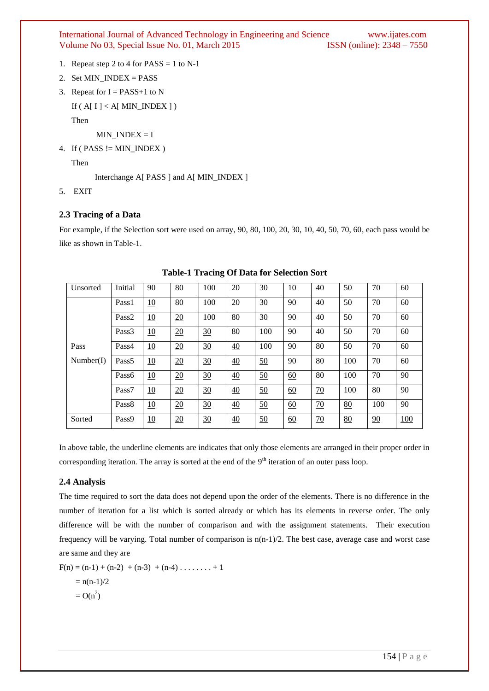International Journal of Advanced Technology in Engineering and Science www.ijates.com Volume No 03, Special Issue No. 01, March 2015 **ISSN** (online): 2348 – 7550 Volume No 03, Special Issue No. 01, March 2015

- 1. Repeat step 2 to 4 for  $PASS = 1$  to N-1
- 2. Set MIN  $INDEX = PASS$
- 3. Repeat for  $I = PASS+1$  to N

```
If (A[I] < A[MIN_INDEX])
```
Then

MIN\_INDEX = I

4. If ( PASS != MIN\_INDEX )

Then

Interchange A[ PASS ] and A[ MIN\_INDEX ]

5. EXIT

## **2.3 Tracing of a Data**

For example, if the Selection sort were used on array, 90, 80, 100, 20, 30, 10, 40, 50, 70, 60, each pass would be like as shown in Table-1.

| Unsorted  | Initial           | 90        | 80               | 100 | 20              | 30  | 10               | 40 | 50  | 70  | 60         |
|-----------|-------------------|-----------|------------------|-----|-----------------|-----|------------------|----|-----|-----|------------|
|           | Pass1             | 10        | 80               | 100 | 20              | 30  | 90               | 40 | 50  | 70  | 60         |
|           | Pass <sub>2</sub> | 10        | $\overline{20}$  | 100 | 80              | 30  | 90               | 40 | 50  | 70  | 60         |
|           | Pass3             | <u>10</u> | 20               | 30  | 80              | 100 | 90               | 40 | 50  | 70  | 60         |
| Pass      | Pass4             | 10        | $\overline{20}$  | 30  | 40              | 100 | 90               | 80 | 50  | 70  | 60         |
| Number(I) | Pass <sub>5</sub> | 10        | $\frac{20}{2}$   | 30  | $\frac{40}{1}$  | 50  | 90               | 80 | 100 | 70  | 60         |
|           | Pass6             | <u>10</u> | 20               | 30  | $\overline{40}$ | 50  | 60               | 80 | 100 | 70  | 90         |
|           | Pass7             | 10        | $\underline{20}$ | 30  | $\overline{40}$ | 50  | 60               | 70 | 100 | 80  | 90         |
|           | Pass <sub>8</sub> | 10        | $\overline{20}$  | 30  | $\overline{40}$ | 50  | $\underline{60}$ | 70 | 80  | 100 | 90         |
| Sorted    | Pass9             | 10        | $\overline{20}$  | 30  | 40              | 50  | 60               | 70 | 80  | 90  | <u>100</u> |

**Table-1 Tracing Of Data for Selection Sort**

In above table, the underline elements are indicates that only those elements are arranged in their proper order in corresponding iteration. The array is sorted at the end of the  $9<sup>th</sup>$  iteration of an outer pass loop.

## **2.4 Analysis**

The time required to sort the data does not depend upon the order of the elements. There is no difference in the number of iteration for a list which is sorted already or which has its elements in reverse order. The only difference will be with the number of comparison and with the assignment statements. Their execution frequency will be varying. Total number of comparison is  $n(n-1)/2$ . The best case, average case and worst case are same and they are

 $F(n) = (n-1) + (n-2) + (n-3) + (n-4) + \ldots + 1$  $= n(n-1)/2$  $= O(n^2)$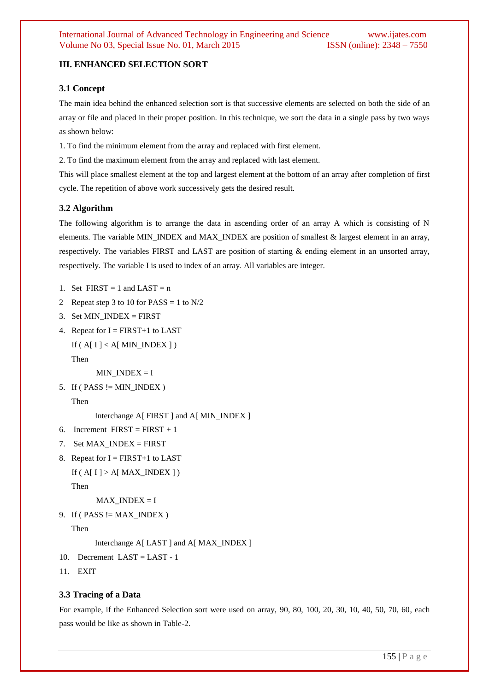# **III. ENHANCED SELECTION SORT**

## **3.1 Concept**

The main idea behind the enhanced selection sort is that successive elements are selected on both the side of an array or file and placed in their proper position. In this technique, we sort the data in a single pass by two ways as shown below:

1. To find the minimum element from the array and replaced with first element.

2. To find the maximum element from the array and replaced with last element.

This will place smallest element at the top and largest element at the bottom of an array after completion of first cycle. The repetition of above work successively gets the desired result.

## **3.2 Algorithm**

The following algorithm is to arrange the data in ascending order of an array A which is consisting of N elements. The variable MIN\_INDEX and MAX\_INDEX are position of smallest & largest element in an array, respectively. The variables FIRST and LAST are position of starting & ending element in an unsorted array, respectively. The variable I is used to index of an array. All variables are integer.

- 1. Set  $FIRST = 1$  and  $LAST = n$
- 2 Repeat step 3 to 10 for PASS = 1 to  $N/2$
- 3. Set  $MIN$ <sub>INDEX</sub> = FIRST
- 4. Repeat for  $I = FIRST+1$  to LAST
	- If ( $A[I] < A[MIN_INDEX]$ )

Then

 $MIN$   $INDEX = I$ 

5. If ( $PASS := MIN_INDEX$ )

Then

Interchange A[ FIRST ] and A[ MIN\_INDEX ]

- 6. Increment  $FIRST = FIRST + 1$
- 7. Set  $MAX$ <sub>INDEX</sub> = FIRST
- 8. Repeat for  $I = FIRST+1$  to LAST
	- If ( $A[I] > A[MAXINDEX]$ )

Then

 $MAX$   $INDEX = I$ 

9. If ( $PASS := MAX\_INDEX$ )

Then

Interchange A[ LAST ] and A[ MAX\_INDEX ]

- 10. Decrement LAST = LAST 1
- 11. EXIT

## **3.3 Tracing of a Data**

For example, if the Enhanced Selection sort were used on array, 90, 80, 100, 20, 30, 10, 40, 50, 70, 60, each pass would be like as shown in Table-2.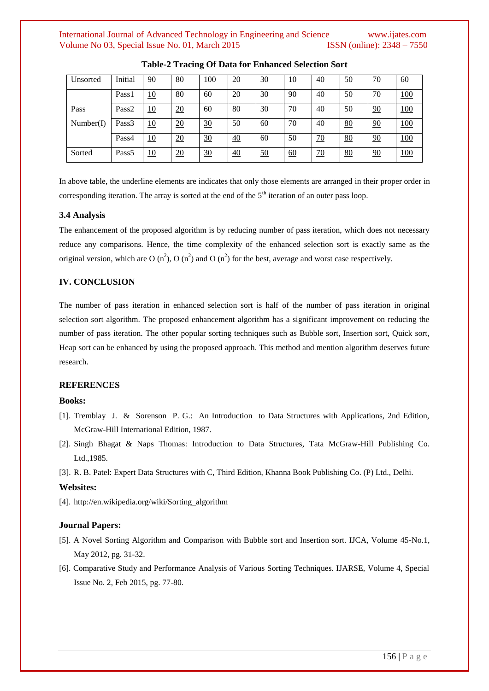## International Journal of Advanced Technology in Engineering and Science www.ijates.com Volume No 03, Special Issue No. 01, March 2015 **ISSN** (online): 2348 – 7550

| Unsorted  | Initial           | 90 | 80 | 100 | 20              | 30 | 10 | 40 | 50 | 70 | 60         |
|-----------|-------------------|----|----|-----|-----------------|----|----|----|----|----|------------|
|           | Pass1             | 10 | 80 | 60  | 20              | 30 | 90 | 40 | 50 | 70 | 100        |
| Pass      | Pass <sub>2</sub> | 10 | 20 | 60  | 80              | 30 | 70 | 40 | 50 | 90 | <u>100</u> |
| Number(I) | Pass <sub>3</sub> | 10 | 20 | 30  | 50              | 60 | 70 | 40 | 80 | 90 | 100        |
|           | Pass4             | 10 | 20 | 30  | 40              | 60 | 50 | 70 | 80 | 90 | <u>100</u> |
| Sorted    | Pass <sub>5</sub> | 10 | 20 | 30  | $\overline{40}$ | 50 | 60 | 70 | 80 | 90 | 100        |

**Table-2 Tracing Of Data for Enhanced Selection Sort**

In above table, the underline elements are indicates that only those elements are arranged in their proper order in corresponding iteration. The array is sorted at the end of the  $5<sup>th</sup>$  iteration of an outer pass loop.

#### **3.4 Analysis**

The enhancement of the proposed algorithm is by reducing number of pass iteration, which does not necessary reduce any comparisons. Hence, the time complexity of the enhanced selection sort is exactly same as the original version, which are O (n<sup>2</sup>), O (n<sup>2</sup>) and O (n<sup>2</sup>) for the best, average and worst case respectively.

#### **IV. CONCLUSION**

The number of pass iteration in enhanced selection sort is half of the number of pass iteration in original selection sort algorithm. The proposed enhancement algorithm has a significant improvement on reducing the number of pass iteration. The other popular sorting techniques such as Bubble sort, Insertion sort, Quick sort, Heap sort can be enhanced by using the proposed approach. This method and mention algorithm deserves future research.

### **REFERENCES**

#### **Books:**

- [1]. Tremblay J. & Sorenson P. G.: An Introduction to Data Structures with Applications, 2nd Edition, McGraw-Hill International Edition, 1987.
- [2]. Singh Bhagat & Naps Thomas: Introduction to Data Structures, Tata McGraw-Hill Publishing Co. Ltd.,1985.
- [3]. R. B. Patel: Expert Data Structures with C, Third Edition, Khanna Book Publishing Co. (P) Ltd., Delhi.

#### **Websites:**

[4]. http://en.wikipedia.org/wiki/Sorting\_algorithm

#### **Journal Papers:**

- [5]. A Novel Sorting Algorithm and Comparison with Bubble sort and Insertion sort. IJCA, Volume 45-No.1, May 2012, pg. 31-32.
- [6]. Comparative Study and Performance Analysis of Various Sorting Techniques. IJARSE, Volume 4, Special Issue No. 2, Feb 2015, pg. 77-80.